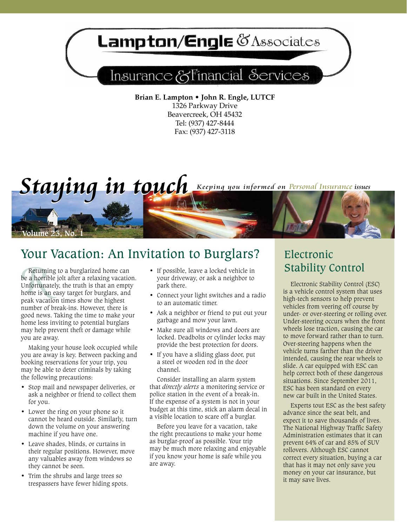# **ampton/Engle @Associates**

## Insurance & Financial Services

**Brian E. Lampton • John R. Engle, LUTCF** 1326 Parkway Drive Beavercreek, OH 45432 Tel: (937) 427-8444 Fax: (937) 427-3118



## Your Vacation: An Invitation to Burglars?

**Returni**<br>*De a horril*<br>*De differention*<br>*Read different***</del><br><b>***Peak vaca* Returning to a burglarized home can be a horrible jolt after a relaxing vacation. Unfortunately, the truth is that an empty home is an easy target for burglars, and peak vacation times show the highest number of break-ins. However, there is good news. Taking the time to make your home less inviting to potential burglars may help prevent theft or damage while you are away.

Making your house look occupied while you are away is key. Between packing and booking reservations for your trip, you may be able to deter criminals by taking the following precautions:

- • Stop mail and newspaper deliveries, or ask a neighbor or friend to collect them for you.
- Lower the ring on your phone so it cannot be heard outside. Similarly, turn down the volume on your answering machine if you have one.
- • Leave shades, blinds, or curtains in their regular positions. However, move any valuables away from windows so they cannot be seen.
- Trim the shrubs and large trees so trespassers have fewer hiding spots.
- • If possible, leave a locked vehicle in your driveway, or ask a neighbor to park there.
- Connect your light switches and a radio to an automatic timer.
- Ask a neighbor or friend to put out your garbage and mow your lawn.
- Make sure all windows and doors are locked. Deadbolts or cylinder locks may provide the best protection for doors.
- If you have a sliding glass door, put a steel or wooden rod in the door channel.

Consider installing an alarm system that *directly alerts* a monitoring service or police station in the event of a break-in. If the expense of a system is not in your budget at this time, stick an alarm decal in a visible location to scare off a burglar.

Before you leave for a vacation, take the right precautions to make your home as burglar-proof as possible. Your trip may be much more relaxing and enjoyable if you know your home is safe while you are away.

## Electronic Stability Control

Electronic Stability Control (ESC) is a vehicle control system that uses high-tech sensors to help prevent vehicles from veering off course by under- or over-steering or rolling over. Under-steering occurs when the front wheels lose traction, causing the car to move forward rather than to turn. Over-steering happens when the vehicle turns farther than the driver intended, causing the rear wheels to slide. A car equipped with ESC can help correct both of these dangerous situations. Since September 2011, ESC has been standard on every new car built in the United States.

Experts tout ESC as the best safety advance since the seat belt, and expect it to save thousands of lives. The National Highway Traffic Safety Administration estimates that it can prevent 64% of car and 85% of SUV rollovers. Although ESC cannot correct every situation, buying a car that has it may not only save you money on your car insurance, but it may save lives.